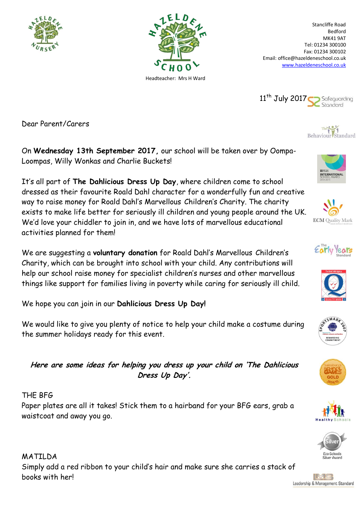



Stancliffe Road Bedford MK41 9AT Tel: 01234 300100 Fax: 01234 300102 Email: office@hazeldeneschool.co.uk [www.hazeldeneschool.co.uk](http://www.hazeldeneschool.co.uk/)



Dear Parent/Carers

On **Wednesday 13th September 2017,** our school will be taken over by Oompa-Loompas, Willy Wonkas and Charlie Buckets!

It's all part of **The Dahlicious Dress Up Day**, where children come to school dressed as their favourite Roald Dahl character for a wonderfully fun and creative way to raise money for Roald Dahl's Marvellous-Children's Charity. The charity exists to make life better for seriously ill children and young people around the UK. We'd love your chiddler to join in, and we have lots of marvellous educational activities planned for them!

We are suggesting a **voluntary donation** for Roald Dahl's Marvellous-Children's Charity, which can be brought into school with your child. Any contributions will help our school raise money for specialist children's nurses and other marvellous things like support for families living in poverty while caring for seriously ill child.

We hope you can join in our **Dahlicious Dress Up Day!**

We would like to give you plenty of notice to help your child make a costume during the summer holidays ready for this event.









**Here are some ideas for helping you dress up your child on 'The Dahlicious Dress Up Day'.**

## THE BFG

Paper plates are all it takes! Stick them to a hairband for your BFG ears, grab a waistcoat and away you go.

MATILDA Simply add a red ribbon to your child's hair and make sure she carries a stack of books with her!



NTERNATIONA

Behaviour Standard